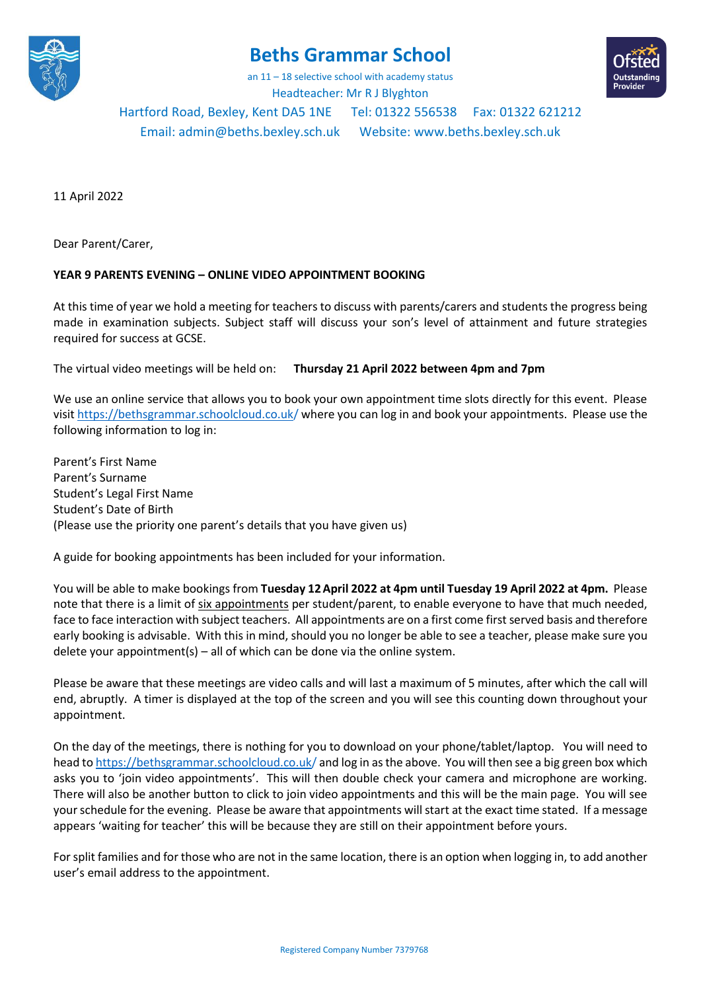

## **Beths Grammar School**

an 11 – 18 selective school with academy status Headteacher: Mr R J Blyghton



## Hartford Road, Bexley, Kent DA5 1NE Tel: 01322 556538 Fax: 01322 621212

Email[: admin@beths.bexley.sch.uk](mailto:admin@beths.bexley.sch.uk) Website: [www.beths.bexley.sch.uk](http://www.beths.bexley.sch.uk/)

11 April 2022

Dear Parent/Carer,

## **YEAR 9 PARENTS EVENING – ONLINE VIDEO APPOINTMENT BOOKING**

At this time of year we hold a meeting for teachers to discuss with parents/carers and students the progress being made in examination subjects. Subject staff will discuss your son's level of attainment and future strategies required for success at GCSE.

The virtual video meetings will be held on: **Thursday 21 April 2022 between 4pm and 7pm**

We use an online service that allows you to book your own appointment time slots directly for this event. Please visit https://bethsgrammar.schoolcloud.co.uk/ where you can log in and book your appointments. Please use the following information to log in:

Parent's First Name Parent's Surname Student's Legal First Name Student's Date of Birth (Please use the priority one parent's details that you have given us)

A guide for booking appointments has been included for your information.

You will be able to make bookings from **Tuesday 12April 2022 at 4pm until Tuesday 19 April 2022 at 4pm.** Please note that there is a limit of six appointments per student/parent, to enable everyone to have that much needed, face to face interaction with subject teachers. All appointments are on a first come first served basis and therefore early booking is advisable. With this in mind, should you no longer be able to see a teacher, please make sure you delete your appointment(s) – all of which can be done via the online system.

Please be aware that these meetings are video calls and will last a maximum of 5 minutes, after which the call will end, abruptly. A timer is displayed at the top of the screen and you will see this counting down throughout your appointment.

On the day of the meetings, there is nothing for you to download on your phone/tablet/laptop. You will need to head to https://bethsgrammar.schoolcloud.co.uk/ and log in as the above. You will then see a big green box which asks you to 'join video appointments'. This will then double check your camera and microphone are working. There will also be another button to click to join video appointments and this will be the main page. You will see your schedule for the evening. Please be aware that appointments will start at the exact time stated. If a message appears 'waiting for teacher' this will be because they are still on their appointment before yours.

For split families and for those who are not in the same location, there is an option when logging in, to add another user's email address to the appointment.